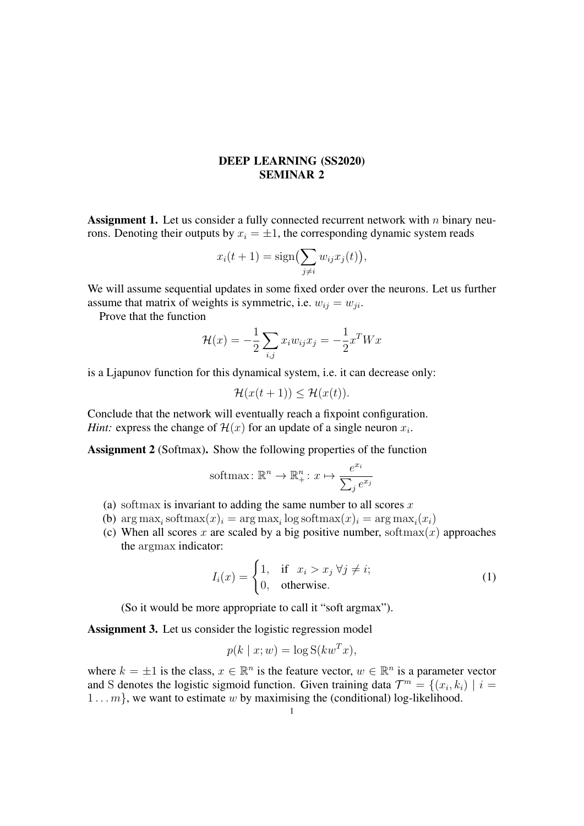## DEEP LEARNING (SS2020) SEMINAR 2

**Assignment 1.** Let us consider a fully connected recurrent network with  $n$  binary neurons. Denoting their outputs by  $x_i = \pm 1$ , the corresponding dynamic system reads

$$
x_i(t+1) = \text{sign}\left(\sum_{j\neq i} w_{ij} x_j(t)\right),\,
$$

We will assume sequential updates in some fixed order over the neurons. Let us further assume that matrix of weights is symmetric, i.e.  $w_{ij} = w_{ji}$ .

Prove that the function

$$
\mathcal{H}(x) = -\frac{1}{2} \sum_{i,j} x_i w_{ij} x_j = -\frac{1}{2} x^T W x
$$

is a Ljapunov function for this dynamical system, i.e. it can decrease only:

$$
\mathcal{H}(x(t+1)) \le \mathcal{H}(x(t)).
$$

Conclude that the network will eventually reach a fixpoint configuration. *Hint:* express the change of  $\mathcal{H}(x)$  for an update of a single neuron  $x_i$ .

Assignment 2 (Softmax). Show the following properties of the function

$$
\text{softmax: } \mathbb{R}^n \to \mathbb{R}_+^n \colon x \mapsto \frac{e^{x_i}}{\sum_j e^{x_j}}
$$

- (a) softmax is invariant to adding the same number to all scores  $x$
- (b)  $\arg \max_i \operatorname{softmax}(x)_i = \arg \max_i \log \operatorname{softmax}(x)_i = \arg \max_i (x_i)$
- (c) When all scores x are scaled by a big positive number, softmax $(x)$  approaches the argmax indicator:

$$
I_i(x) = \begin{cases} 1, & \text{if } x_i > x_j \,\forall j \neq i; \\ 0, & \text{otherwise.} \end{cases}
$$
 (1)

(So it would be more appropriate to call it "soft argmax").

Assignment 3. Let us consider the logistic regression model

$$
p(k \mid x; w) = \log S(kw^T x),
$$

where  $k = \pm 1$  is the class,  $x \in \mathbb{R}^n$  is the feature vector,  $w \in \mathbb{R}^n$  is a parameter vector and S denotes the logistic sigmoid function. Given training data  $\mathcal{T}^m = \{(x_i, k_i) \mid i = 1\}$  $1...m$ , we want to estimate w by maximising the (conditional) log-likelihood.